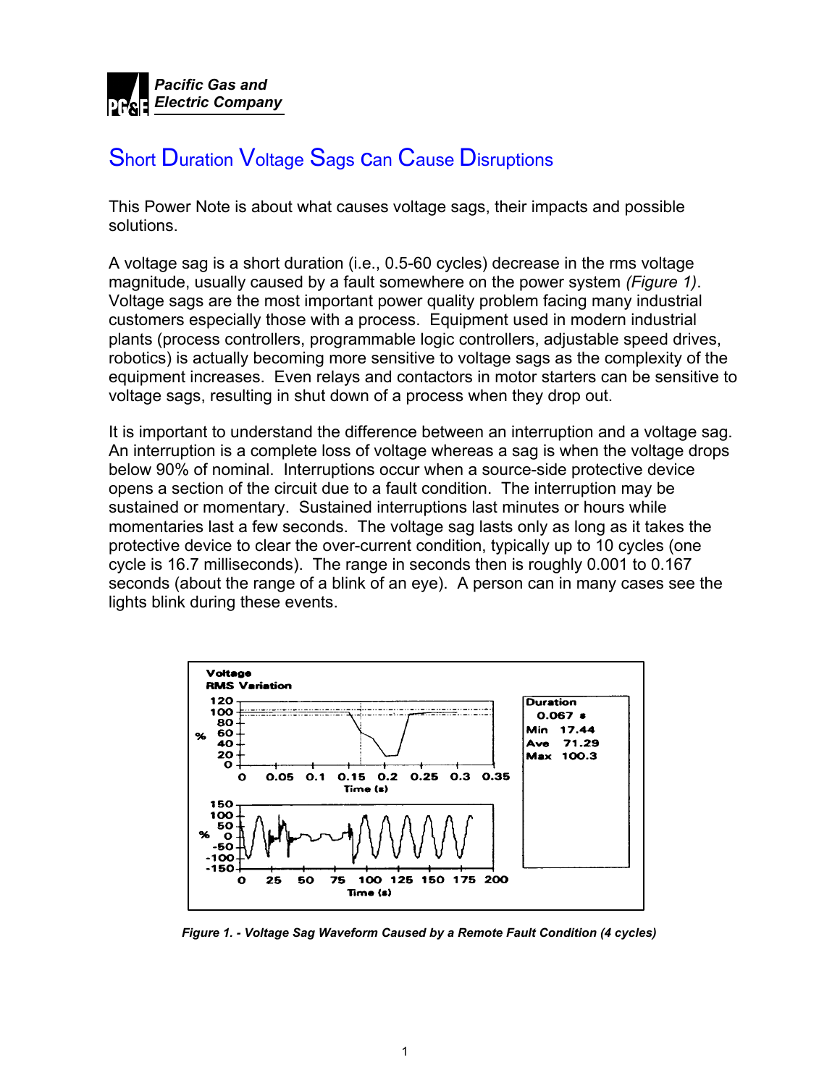

# Short Duration Voltage Sags can Cause Disruptions

This Power Note is about what causes voltage sags, their impacts and possible solutions.

A voltage sag is a short duration (i.e., 0.5-60 cycles) decrease in the rms voltage magnitude, usually caused by a fault somewhere on the power system *(Figure 1)*. Voltage sags are the most important power quality problem facing many industrial customers especially those with a process. Equipment used in modern industrial plants (process controllers, programmable logic controllers, adjustable speed drives, robotics) is actually becoming more sensitive to voltage sags as the complexity of the equipment increases. Even relays and contactors in motor starters can be sensitive to voltage sags, resulting in shut down of a process when they drop out.

It is important to understand the difference between an interruption and a voltage sag. An interruption is a complete loss of voltage whereas a sag is when the voltage drops below 90% of nominal. Interruptions occur when a source-side protective device opens a section of the circuit due to a fault condition. The interruption may be sustained or momentary. Sustained interruptions last minutes or hours while momentaries last a few seconds. The voltage sag lasts only as long as it takes the protective device to clear the over-current condition, typically up to 10 cycles (one cycle is 16.7 milliseconds). The range in seconds then is roughly 0.001 to 0.167 seconds (about the range of a blink of an eye). A person can in many cases see the lights blink during these events.



*Figure 1. - Voltage Sag Waveform Caused by a Remote Fault Condition (4 cycles)*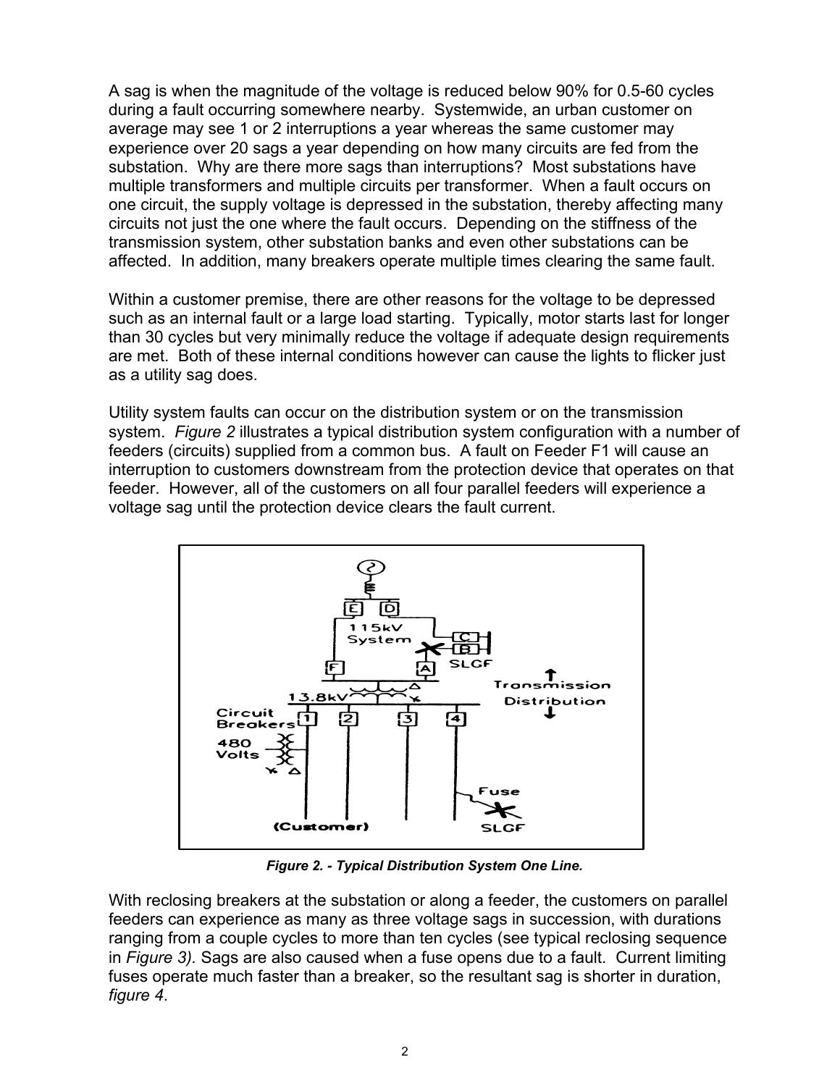A sag is when the magnitude of the voltage is reduced below 90% for 0.5-60 cycles during a fault occurring somewhere nearby. Systemwide, an urban customer on average may see 1 or 2 interruptions a year whereas the same customer may experience over 20 sags a year depending on how many circuits are fed from the substation. Why are there more sags than interruptions? Most substations have multiple transformers and multiple circuits per transformer. When a fault occurs on one circuit, the supply voltage is depressed in the substation, thereby affecting many circuits not just the one where the fault occurs. Depending on the stiffness of the transmission system, other substation banks and even other substations can be affected. In addition, many breakers operate multiple times clearing the same fault.

Within a customer premise, there are other reasons for the voltage to be depressed such as an internal fault or a large load starting. Typically, motor starts last for longer than 30 cycles but very minimally reduce the voltage if adequate design requirements are met. Both of these internal conditions however can cause the lights to flicker just as a utility sag does.

Utility system faults can occur on the distribution system or on the transmission system. *Figure 2* illustrates a typical distribution system configuration with a number of feeders (circuits) supplied from a common bus. A fault on Feeder F1 will cause an interruption to customers downstream from the protection device that operates on that feeder. However, all of the customers on all four parallel feeders will experience a voltage sag until the protection device clears the fault current.



*Figure 2. - Typical Distribution System One Line.* 

With reclosing breakers at the substation or along a feeder, the customers on parallel feeders can experience as many as three voltage sags in succession, with durations ranging from a couple cycles to more than ten cycles (see typical reclosing sequence in *Figure 3).* Sags are also caused when a fuse opens due to a fault. Current limiting fuses operate much faster than a breaker, so the resultant sag is shorter in duration, *figure 4*.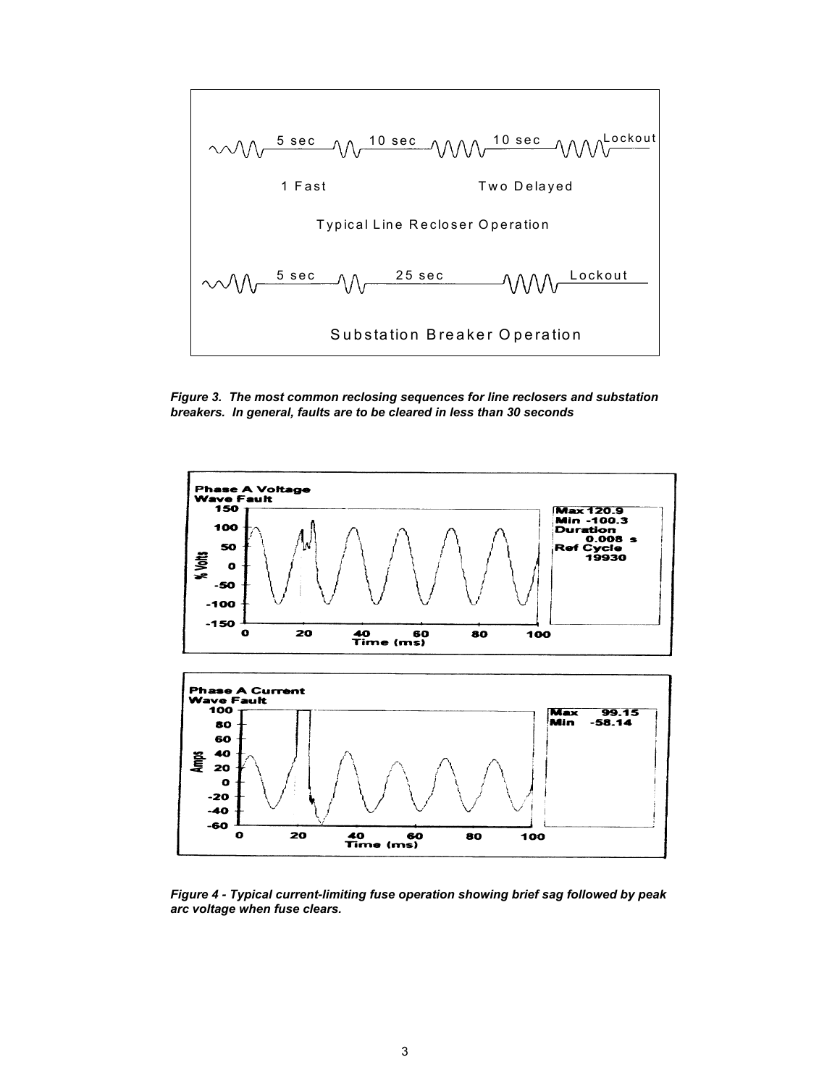

*Figure 3. The most common reclosing sequences for line reclosers and substation breakers. In general, faults are to be cleared in less than 30 seconds*



*Figure 4 - Typical current-limiting fuse operation showing brief sag followed by peak arc voltage when fuse clears.*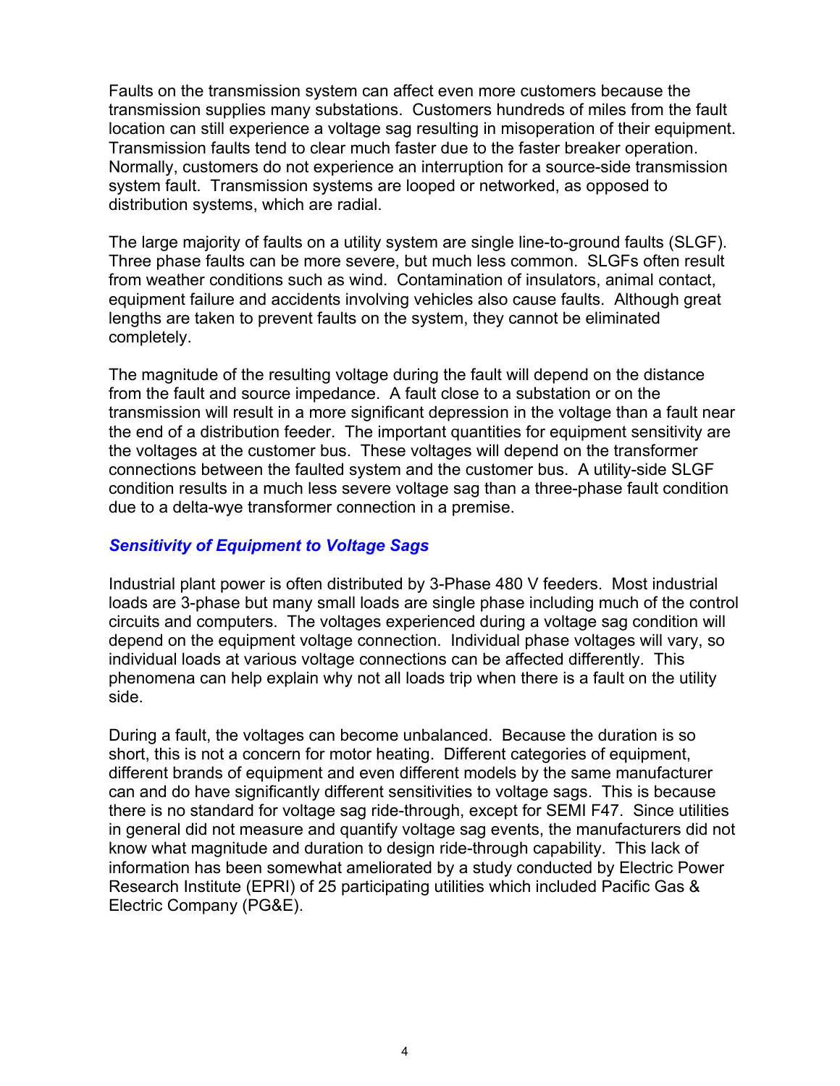Faults on the transmission system can affect even more customers because the transmission supplies many substations. Customers hundreds of miles from the fault location can still experience a voltage sag resulting in misoperation of their equipment. Transmission faults tend to clear much faster due to the faster breaker operation. Normally, customers do not experience an interruption for a source-side transmission system fault. Transmission systems are looped or networked, as opposed to distribution systems, which are radial.

The large majority of faults on a utility system are single line-to-ground faults (SLGF). Three phase faults can be more severe, but much less common. SLGFs often result from weather conditions such as wind. Contamination of insulators, animal contact, equipment failure and accidents involving vehicles also cause faults. Although great lengths are taken to prevent faults on the system, they cannot be eliminated completely.

The magnitude of the resulting voltage during the fault will depend on the distance from the fault and source impedance. A fault close to a substation or on the transmission will result in a more significant depression in the voltage than a fault near the end of a distribution feeder. The important quantities for equipment sensitivity are the voltages at the customer bus. These voltages will depend on the transformer connections between the faulted system and the customer bus. A utility-side SLGF condition results in a much less severe voltage sag than a three-phase fault condition due to a delta-wye transformer connection in a premise.

## *Sensitivity of Equipment to Voltage Sags*

Industrial plant power is often distributed by 3-Phase 480 V feeders. Most industrial loads are 3-phase but many small loads are single phase including much of the control circuits and computers. The voltages experienced during a voltage sag condition will depend on the equipment voltage connection. Individual phase voltages will vary, so individual loads at various voltage connections can be affected differently. This phenomena can help explain why not all loads trip when there is a fault on the utility side.

During a fault, the voltages can become unbalanced. Because the duration is so short, this is not a concern for motor heating. Different categories of equipment, different brands of equipment and even different models by the same manufacturer can and do have significantly different sensitivities to voltage sags. This is because there is no standard for voltage sag ride-through, except for SEMI F47. Since utilities in general did not measure and quantify voltage sag events, the manufacturers did not know what magnitude and duration to design ride-through capability. This lack of information has been somewhat ameliorated by a study conducted by Electric Power Research Institute (EPRI) of 25 participating utilities which included Pacific Gas & Electric Company (PG&E).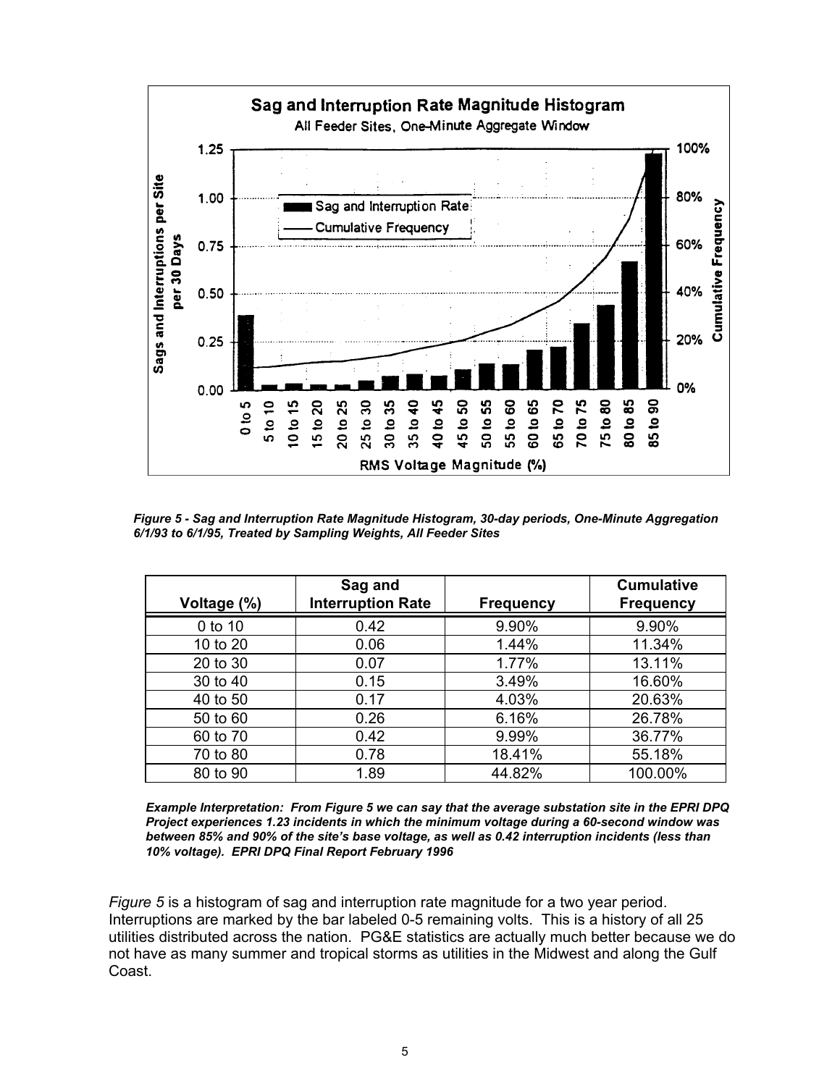

*Figure 5 - Sag and Interruption Rate Magnitude Histogram, 30-day periods, One-Minute Aggregation 6/1/93 to 6/1/95, Treated by Sampling Weights, All Feeder Sites* 

| Voltage (%) | Sag and<br><b>Interruption Rate</b> | <b>Frequency</b> | <b>Cumulative</b><br><b>Frequency</b> |
|-------------|-------------------------------------|------------------|---------------------------------------|
| 0 to 10     | 0.42                                | 9.90%            | 9.90%                                 |
| 10 to 20    | 0.06                                | 1.44%            | 11.34%                                |
| 20 to 30    | 0.07                                | 1.77%            | 13.11%                                |
| 30 to 40    | 0.15                                | 3.49%            | 16.60%                                |
| 40 to 50    | 0.17                                | 4.03%            | 20.63%                                |
| 50 to 60    | 0.26                                | 6.16%            | 26.78%                                |
| 60 to 70    | 0.42                                | 9.99%            | 36.77%                                |
| 70 to 80    | 0.78                                | 18.41%           | 55.18%                                |
| 80 to 90    | 1.89                                | 44.82%           | 100.00%                               |

*Example Interpretation: From Figure 5 we can say that the average substation site in the EPRI DPQ Project experiences 1.23 incidents in which the minimum voltage during a 60-second window was between 85% and 90% of the site's base voltage, as well as 0.42 interruption incidents (less than 10% voltage). EPRI DPQ Final Report February 1996* 

*Figure 5* is a histogram of sag and interruption rate magnitude for a two year period. Interruptions are marked by the bar labeled 0-5 remaining volts. This is a history of all 25 utilities distributed across the nation. PG&E statistics are actually much better because we do not have as many summer and tropical storms as utilities in the Midwest and along the Gulf Coast.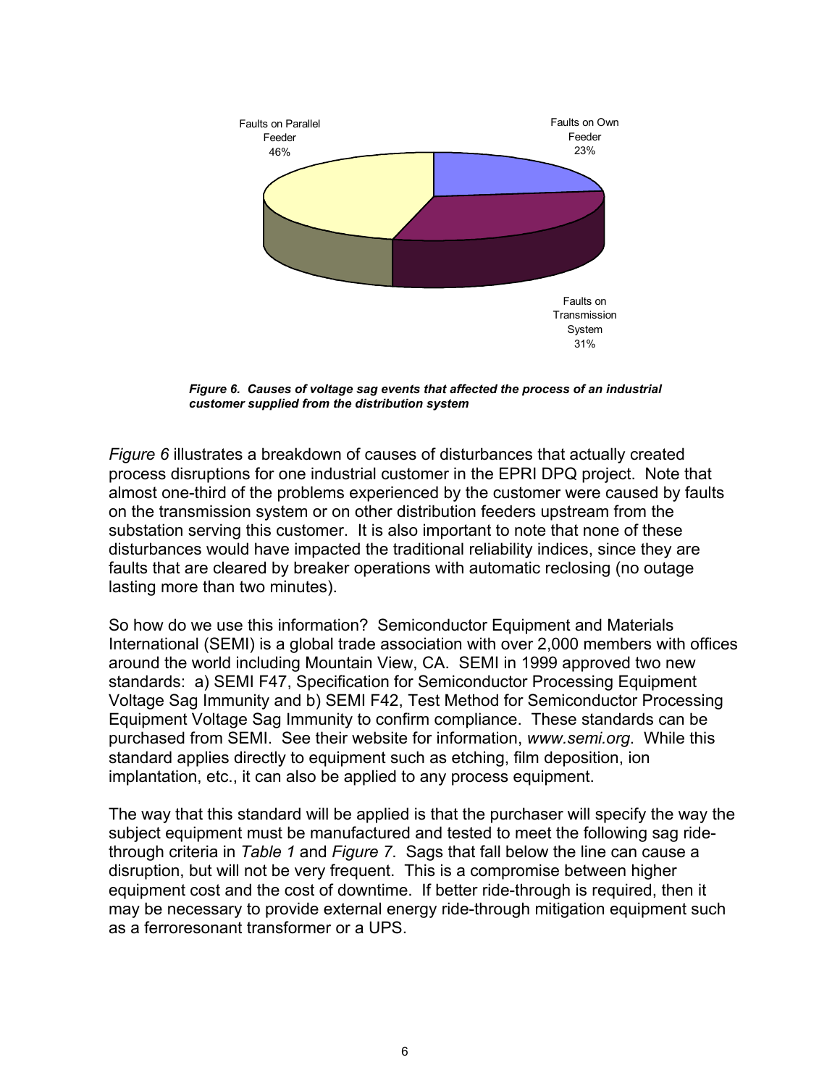

*Figure 6. Causes of voltage sag events that affected the process of an industrial customer supplied from the distribution system* 

*Figure 6* illustrates a breakdown of causes of disturbances that actually created process disruptions for one industrial customer in the EPRI DPQ project. Note that almost one-third of the problems experienced by the customer were caused by faults on the transmission system or on other distribution feeders upstream from the substation serving this customer. It is also important to note that none of these disturbances would have impacted the traditional reliability indices, since they are faults that are cleared by breaker operations with automatic reclosing (no outage lasting more than two minutes).

So how do we use this information? Semiconductor Equipment and Materials International (SEMI) is a global trade association with over 2,000 members with offices around the world including Mountain View, CA. SEMI in 1999 approved two new standards: a) SEMI F47, Specification for Semiconductor Processing Equipment Voltage Sag Immunity and b) SEMI F42, Test Method for Semiconductor Processing Equipment Voltage Sag Immunity to confirm compliance. These standards can be purchased from SEMI. See their website for information, *www.semi.org*. While this standard applies directly to equipment such as etching, film deposition, ion implantation, etc., it can also be applied to any process equipment.

The way that this standard will be applied is that the purchaser will specify the way the subject equipment must be manufactured and tested to meet the following sag ridethrough criteria in *Table 1* and *Figure 7*. Sags that fall below the line can cause a disruption, but will not be very frequent. This is a compromise between higher equipment cost and the cost of downtime. If better ride-through is required, then it may be necessary to provide external energy ride-through mitigation equipment such as a ferroresonant transformer or a UPS.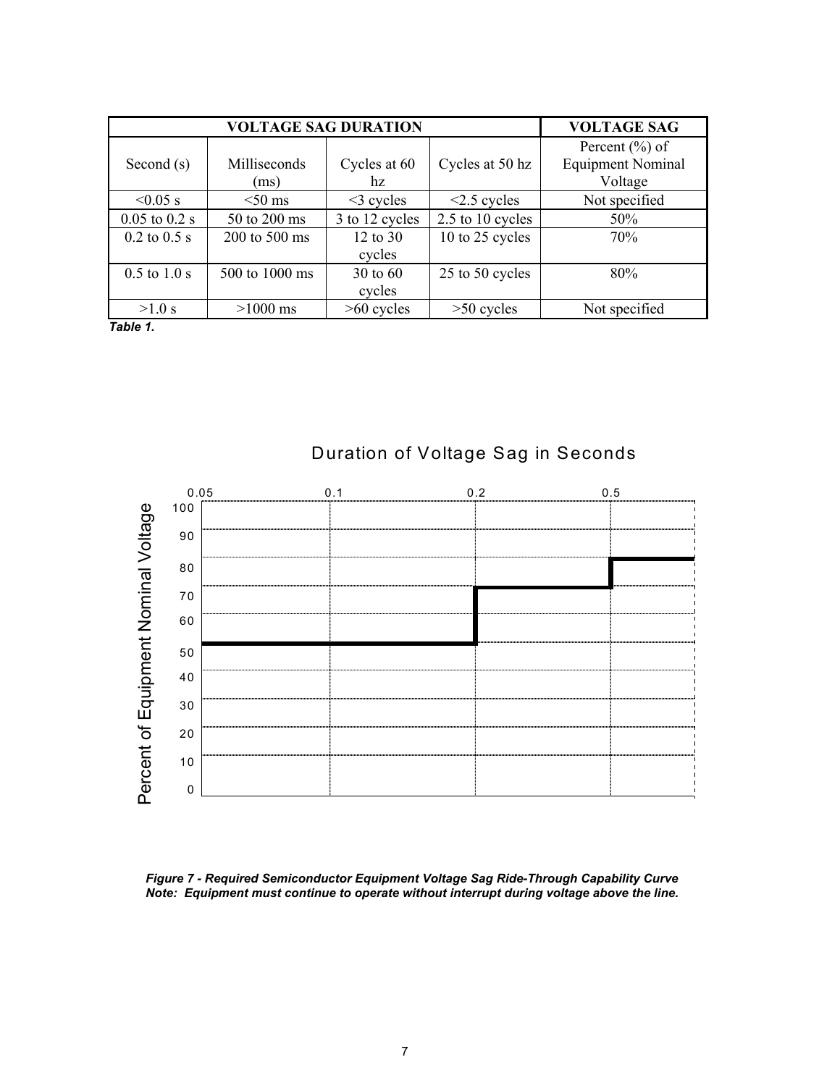|                   | <b>VOLTAGE SAG</b> |                |                   |                          |
|-------------------|--------------------|----------------|-------------------|--------------------------|
|                   |                    |                |                   | Percent $(\% )$ of       |
| Second $(s)$      | Milliseconds       | Cycles at 60   | Cycles at 50 hz   | <b>Equipment Nominal</b> |
|                   | (ms)               | hz             |                   | Voltage                  |
| $< 0.05$ s        | $<$ 50 ms          | $\leq$ cycles  | $\leq$ 2.5 cycles | Not specified            |
| $0.05$ to $0.2$ s | 50 to 200 ms       | 3 to 12 cycles | 2.5 to 10 cycles  | 50%                      |
| $0.2$ to $0.5$ s  | $200$ to $500$ ms  | 12 to 30       | 10 to 25 cycles   | 70%                      |
|                   |                    | cycles         |                   |                          |
| $0.5$ to $1.0$ s  | 500 to 1000 ms     | 30 to 60       | 25 to 50 cycles   | 80%                      |
|                   |                    | cycles         |                   |                          |
| $>1.0$ s          | $>1000$ ms         | $>60$ cycles   | $>50$ cycles      | Not specified            |

*Table 1.*



## Duration of Voltage Sag in Seconds

*Figure 7 - Required Semiconductor Equipment Voltage Sag Ride-Through Capability Curve Note: Equipment must continue to operate without interrupt during voltage above the line.*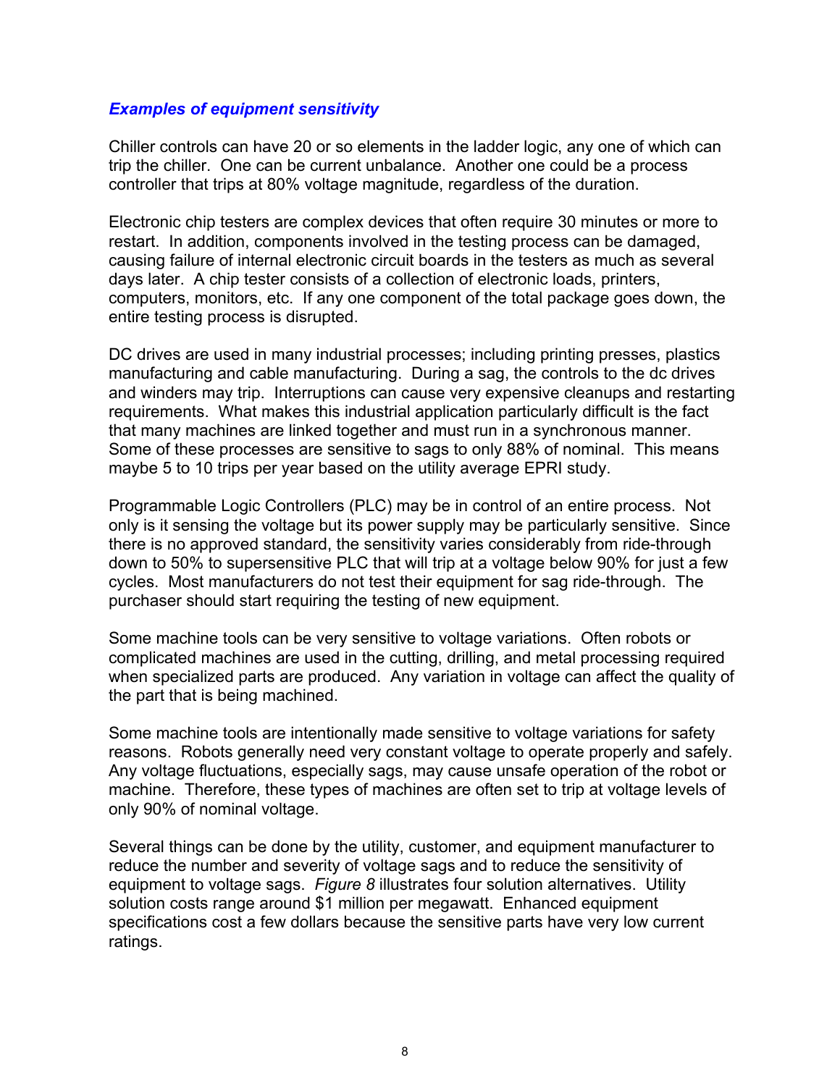### *Examples of equipment sensitivity*

Chiller controls can have 20 or so elements in the ladder logic, any one of which can trip the chiller. One can be current unbalance. Another one could be a process controller that trips at 80% voltage magnitude, regardless of the duration.

Electronic chip testers are complex devices that often require 30 minutes or more to restart. In addition, components involved in the testing process can be damaged, causing failure of internal electronic circuit boards in the testers as much as several days later. A chip tester consists of a collection of electronic loads, printers, computers, monitors, etc. If any one component of the total package goes down, the entire testing process is disrupted.

DC drives are used in many industrial processes; including printing presses, plastics manufacturing and cable manufacturing. During a sag, the controls to the dc drives and winders may trip. Interruptions can cause very expensive cleanups and restarting requirements. What makes this industrial application particularly difficult is the fact that many machines are linked together and must run in a synchronous manner. Some of these processes are sensitive to sags to only 88% of nominal. This means maybe 5 to 10 trips per year based on the utility average EPRI study.

Programmable Logic Controllers (PLC) may be in control of an entire process. Not only is it sensing the voltage but its power supply may be particularly sensitive. Since there is no approved standard, the sensitivity varies considerably from ride-through down to 50% to supersensitive PLC that will trip at a voltage below 90% for just a few cycles. Most manufacturers do not test their equipment for sag ride-through. The purchaser should start requiring the testing of new equipment.

Some machine tools can be very sensitive to voltage variations. Often robots or complicated machines are used in the cutting, drilling, and metal processing required when specialized parts are produced. Any variation in voltage can affect the quality of the part that is being machined.

Some machine tools are intentionally made sensitive to voltage variations for safety reasons. Robots generally need very constant voltage to operate properly and safely. Any voltage fluctuations, especially sags, may cause unsafe operation of the robot or machine. Therefore, these types of machines are often set to trip at voltage levels of only 90% of nominal voltage.

Several things can be done by the utility, customer, and equipment manufacturer to reduce the number and severity of voltage sags and to reduce the sensitivity of equipment to voltage sags. *Figure 8* illustrates four solution alternatives. Utility solution costs range around \$1 million per megawatt. Enhanced equipment specifications cost a few dollars because the sensitive parts have very low current ratings.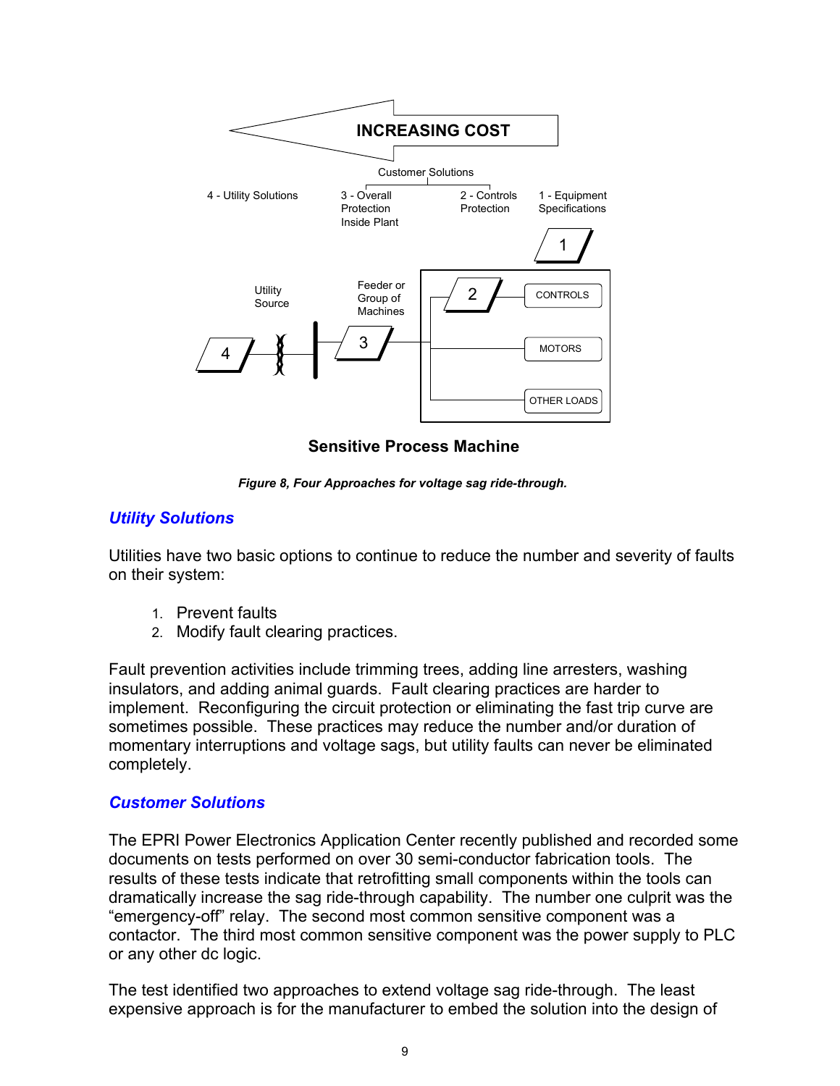

**Sensitive Process Machine**

*Figure 8, Four Approaches for voltage sag ride-through.* 

## *Utility Solutions*

Utilities have two basic options to continue to reduce the number and severity of faults on their system:

- 1. Prevent faults
- 2. Modify fault clearing practices.

Fault prevention activities include trimming trees, adding line arresters, washing insulators, and adding animal guards. Fault clearing practices are harder to implement. Reconfiguring the circuit protection or eliminating the fast trip curve are sometimes possible. These practices may reduce the number and/or duration of momentary interruptions and voltage sags, but utility faults can never be eliminated completely.

## *Customer Solutions*

The EPRI Power Electronics Application Center recently published and recorded some documents on tests performed on over 30 semi-conductor fabrication tools. The results of these tests indicate that retrofitting small components within the tools can dramatically increase the sag ride-through capability. The number one culprit was the "emergency-off" relay. The second most common sensitive component was a contactor. The third most common sensitive component was the power supply to PLC or any other dc logic.

The test identified two approaches to extend voltage sag ride-through. The least expensive approach is for the manufacturer to embed the solution into the design of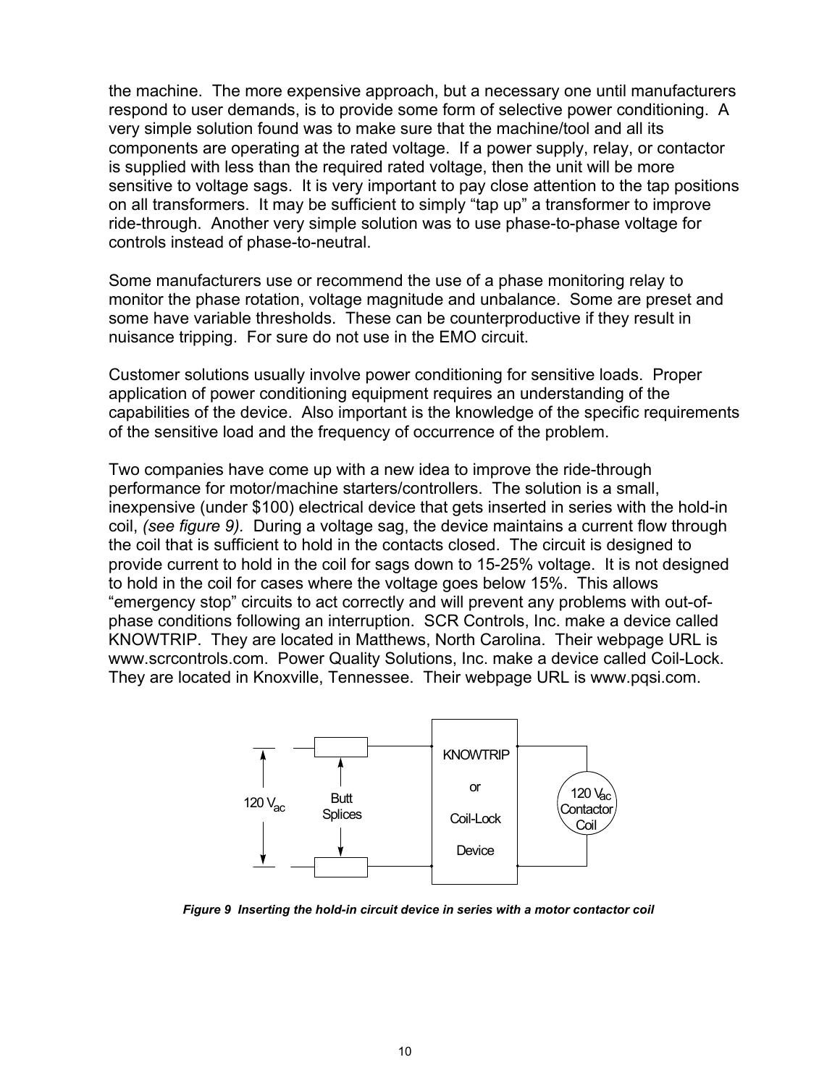the machine. The more expensive approach, but a necessary one until manufacturers respond to user demands, is to provide some form of selective power conditioning. A very simple solution found was to make sure that the machine/tool and all its components are operating at the rated voltage. If a power supply, relay, or contactor is supplied with less than the required rated voltage, then the unit will be more sensitive to voltage sags. It is very important to pay close attention to the tap positions on all transformers. It may be sufficient to simply "tap up" a transformer to improve ride-through. Another very simple solution was to use phase-to-phase voltage for controls instead of phase-to-neutral.

Some manufacturers use or recommend the use of a phase monitoring relay to monitor the phase rotation, voltage magnitude and unbalance. Some are preset and some have variable thresholds. These can be counterproductive if they result in nuisance tripping. For sure do not use in the EMO circuit.

Customer solutions usually involve power conditioning for sensitive loads. Proper application of power conditioning equipment requires an understanding of the capabilities of the device. Also important is the knowledge of the specific requirements of the sensitive load and the frequency of occurrence of the problem.

Two companies have come up with a new idea to improve the ride-through performance for motor/machine starters/controllers. The solution is a small, inexpensive (under \$100) electrical device that gets inserted in series with the hold-in coil, *(see figure 9).* During a voltage sag, the device maintains a current flow through the coil that is sufficient to hold in the contacts closed. The circuit is designed to provide current to hold in the coil for sags down to 15-25% voltage. It is not designed to hold in the coil for cases where the voltage goes below 15%. This allows "emergency stop" circuits to act correctly and will prevent any problems with out-ofphase conditions following an interruption. SCR Controls, Inc. make a device called KNOWTRIP. They are located in Matthews, North Carolina. Their webpage URL is www.scrcontrols.com. Power Quality Solutions, Inc. make a device called Coil-Lock. They are located in Knoxville, Tennessee. Their webpage URL is www.pqsi.com.



*Figure 9 Inserting the hold-in circuit device in series with a motor contactor coil*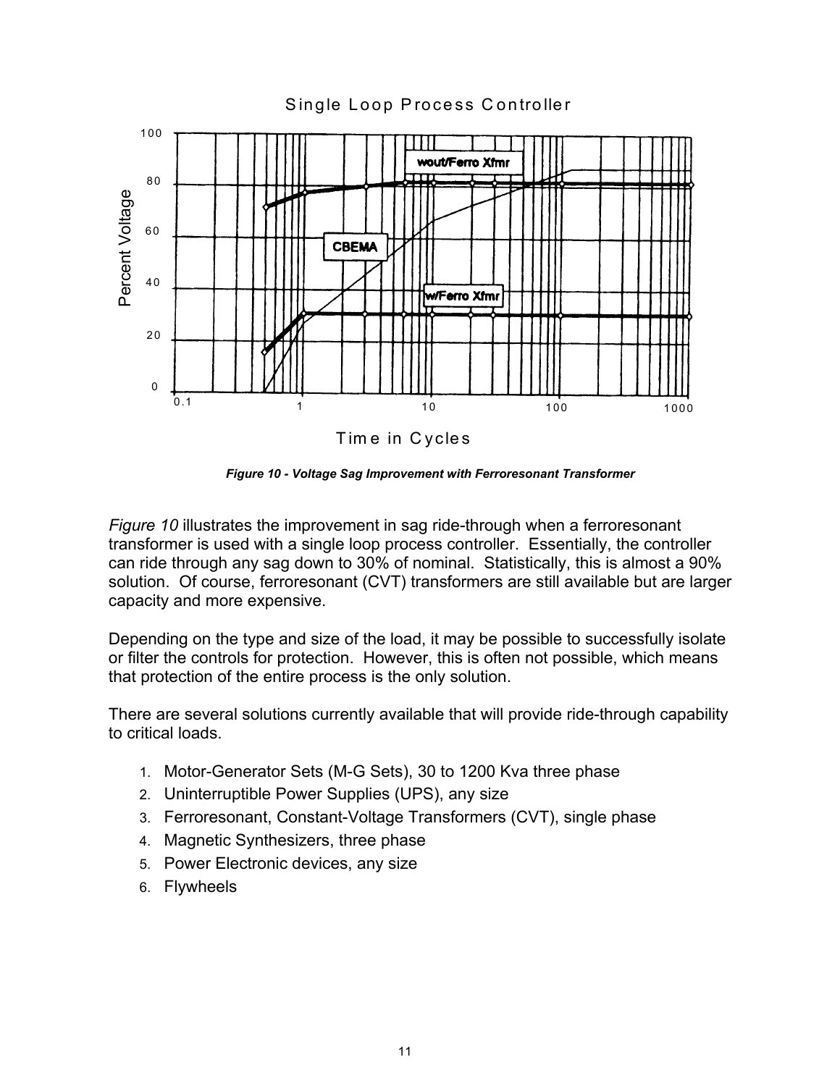

*Figure 10 - Voltage Sag Improvement with Ferroresonant Transformer* 

*Figure 10* illustrates the improvement in sag ride-through when a ferroresonant transformer is used with a single loop process controller. Essentially, the controller can ride through any sag down to 30% of nominal. Statistically, this is almost a 90% solution. Of course, ferroresonant (CVT) transformers are still available but are larger capacity and more expensive.

Depending on the type and size of the load, it may be possible to successfully isolate or filter the controls for protection. However, this is often not possible, which means that protection of the entire process is the only solution.

There are several solutions currently available that will provide ride-through capability to critical loads.

- 1. Motor-Generator Sets (M-G Sets), 30 to 1200 Kva three phase
- 2. Uninterruptible Power Supplies (UPS), any size
- 3. Ferroresonant, Constant-Voltage Transformers (CVT), single phase
- 4. Magnetic Synthesizers, three phase
- 5. Power Electronic devices, any size
- 6. Flywheels